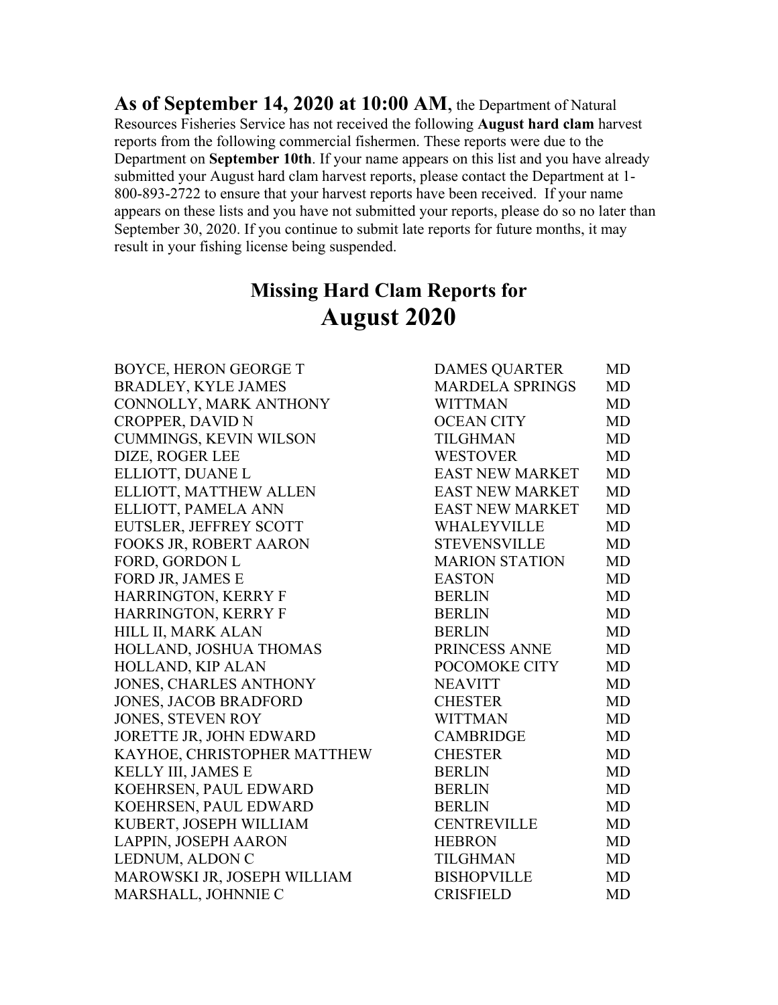**As of September 14, 2020 at 10:00 AM**, the Department of Natural Resources Fisheries Service has not received the following **August hard clam** harvest reports from the following commercial fishermen. These reports were due to the Department on **September 10th**. If your name appears on this list and you have already submitted your August hard clam harvest reports, please contact the Department at 1- 800-893-2722 to ensure that your harvest reports have been received. If your name appears on these lists and you have not submitted your reports, please do so no later than September 30, 2020. If you continue to submit late reports for future months, it may result in your fishing license being suspended.

## **Missing Hard Clam Reports for August 2020**

| BOYCE, HERON GEORGE T         | <b>DAMES QUARTER</b>   | MD        |
|-------------------------------|------------------------|-----------|
| <b>BRADLEY, KYLE JAMES</b>    | <b>MARDELA SPRINGS</b> | <b>MD</b> |
| CONNOLLY, MARK ANTHONY        | <b>WITTMAN</b>         | <b>MD</b> |
| <b>CROPPER, DAVID N</b>       | <b>OCEAN CITY</b>      | <b>MD</b> |
| <b>CUMMINGS, KEVIN WILSON</b> | <b>TILGHMAN</b>        | <b>MD</b> |
| DIZE, ROGER LEE               | <b>WESTOVER</b>        | <b>MD</b> |
| ELLIOTT, DUANE L              | <b>EAST NEW MARKET</b> | <b>MD</b> |
| ELLIOTT, MATTHEW ALLEN        | <b>EAST NEW MARKET</b> | <b>MD</b> |
| ELLIOTT, PAMELA ANN           | <b>EAST NEW MARKET</b> | MD        |
| EUTSLER, JEFFREY SCOTT        | WHALEYVILLE            | <b>MD</b> |
| FOOKS JR, ROBERT AARON        | <b>STEVENSVILLE</b>    | <b>MD</b> |
| FORD, GORDON L                | <b>MARION STATION</b>  | <b>MD</b> |
| FORD JR, JAMES E              | <b>EASTON</b>          | MD        |
| HARRINGTON, KERRY F           | <b>BERLIN</b>          | <b>MD</b> |
| <b>HARRINGTON, KERRY F</b>    | <b>BERLIN</b>          | <b>MD</b> |
| HILL II, MARK ALAN            | <b>BERLIN</b>          | <b>MD</b> |
| HOLLAND, JOSHUA THOMAS        | PRINCESS ANNE          | <b>MD</b> |
| HOLLAND, KIP ALAN             | POCOMOKE CITY          | <b>MD</b> |
| <b>JONES, CHARLES ANTHONY</b> | <b>NEAVITT</b>         | <b>MD</b> |
| <b>JONES, JACOB BRADFORD</b>  | <b>CHESTER</b>         | <b>MD</b> |
| <b>JONES, STEVEN ROY</b>      | <b>WITTMAN</b>         | <b>MD</b> |
| JORETTE JR, JOHN EDWARD       | <b>CAMBRIDGE</b>       | <b>MD</b> |
| KAYHOE, CHRISTOPHER MATTHEW   | <b>CHESTER</b>         | <b>MD</b> |
| KELLY III, JAMES E            | <b>BERLIN</b>          | <b>MD</b> |
| KOEHRSEN, PAUL EDWARD         | <b>BERLIN</b>          | <b>MD</b> |
| KOEHRSEN, PAUL EDWARD         | <b>BERLIN</b>          | <b>MD</b> |
| KUBERT, JOSEPH WILLIAM        | <b>CENTREVILLE</b>     | <b>MD</b> |
| LAPPIN, JOSEPH AARON          | <b>HEBRON</b>          | <b>MD</b> |
| LEDNUM, ALDON C               | <b>TILGHMAN</b>        | <b>MD</b> |
| MAROWSKI JR, JOSEPH WILLIAM   | <b>BISHOPVILLE</b>     | <b>MD</b> |
| MARSHALL, JOHNNIE C           | <b>CRISFIELD</b>       | <b>MD</b> |
|                               |                        |           |